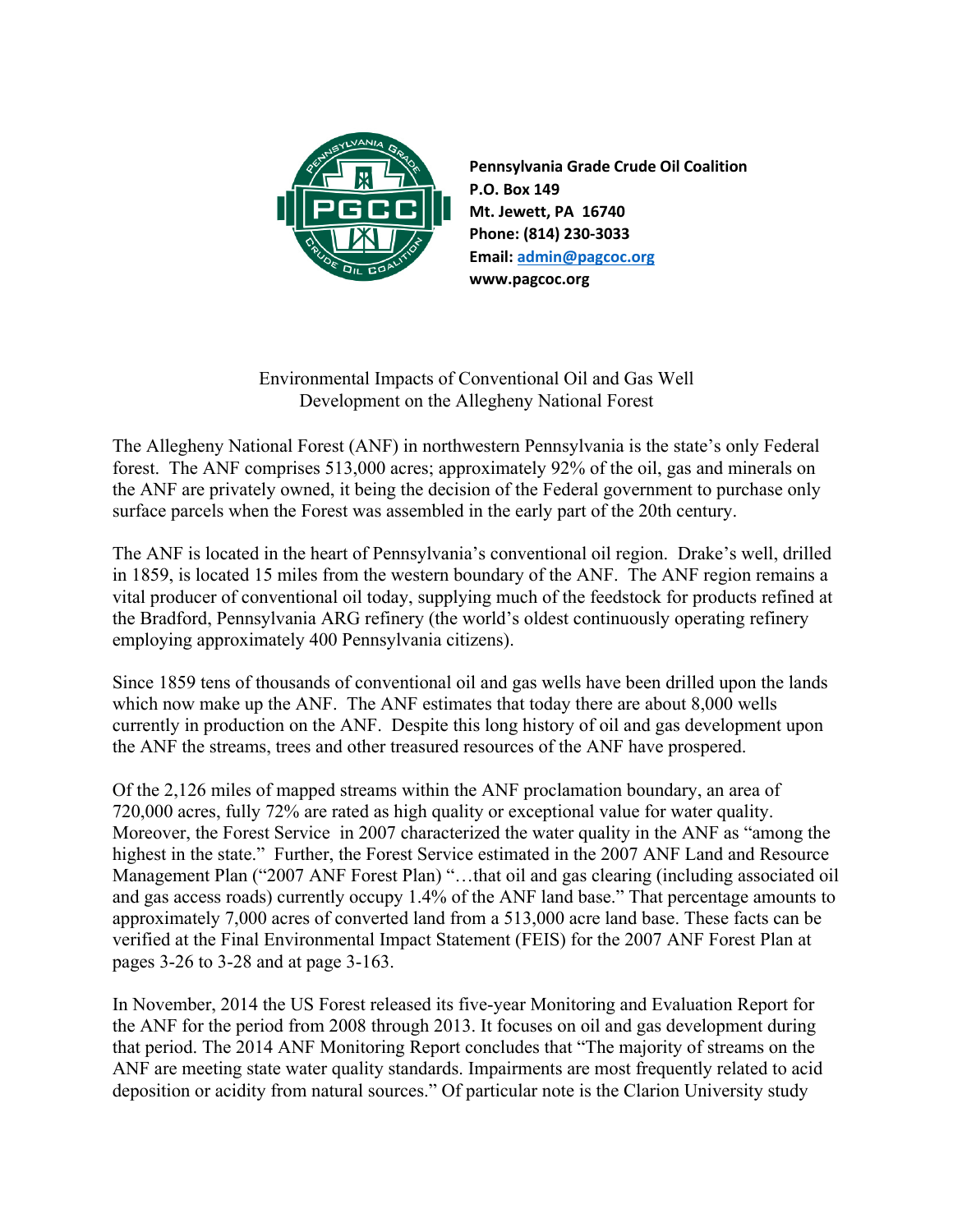

**Pennsylvania Grade Crude Oil Coalition P.O. Box 149 Mt. Jewett, PA 16740 Phone: (814) 230-3033 Email: admin@pagcoc.org www.pagcoc.org**

Environmental Impacts of Conventional Oil and Gas Well Development on the Allegheny National Forest

The Allegheny National Forest (ANF) in northwestern Pennsylvania is the state's only Federal forest. The ANF comprises 513,000 acres; approximately 92% of the oil, gas and minerals on the ANF are privately owned, it being the decision of the Federal government to purchase only surface parcels when the Forest was assembled in the early part of the 20th century.

The ANF is located in the heart of Pennsylvania's conventional oil region. Drake's well, drilled in 1859, is located 15 miles from the western boundary of the ANF. The ANF region remains a vital producer of conventional oil today, supplying much of the feedstock for products refined at the Bradford, Pennsylvania ARG refinery (the world's oldest continuously operating refinery employing approximately 400 Pennsylvania citizens).

Since 1859 tens of thousands of conventional oil and gas wells have been drilled upon the lands which now make up the ANF. The ANF estimates that today there are about 8,000 wells currently in production on the ANF. Despite this long history of oil and gas development upon the ANF the streams, trees and other treasured resources of the ANF have prospered.

Of the 2,126 miles of mapped streams within the ANF proclamation boundary, an area of 720,000 acres, fully 72% are rated as high quality or exceptional value for water quality. Moreover, the Forest Service in 2007 characterized the water quality in the ANF as "among the highest in the state." Further, the Forest Service estimated in the 2007 ANF Land and Resource Management Plan ("2007 ANF Forest Plan) "…that oil and gas clearing (including associated oil and gas access roads) currently occupy 1.4% of the ANF land base." That percentage amounts to approximately 7,000 acres of converted land from a 513,000 acre land base. These facts can be verified at the Final Environmental Impact Statement (FEIS) for the 2007 ANF Forest Plan at pages 3-26 to 3-28 and at page 3-163.

In November, 2014 the US Forest released its five-year Monitoring and Evaluation Report for the ANF for the period from 2008 through 2013. It focuses on oil and gas development during that period. The 2014 ANF Monitoring Report concludes that "The majority of streams on the ANF are meeting state water quality standards. Impairments are most frequently related to acid deposition or acidity from natural sources." Of particular note is the Clarion University study